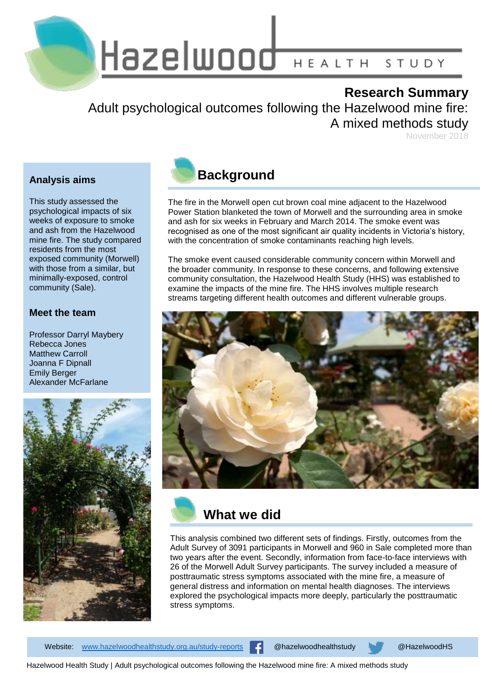Hazelwood HEALTH STUDY

### **Research Summary**

Adult psychological outcomes following the Hazelwood mine fire: A mixed methods study

November 2018

### **Analysis aims**

This study assessed the psychological impacts of six weeks of exposure to smoke and ash from the Hazelwood mine fire. The study compared residents from the most exposed community (Morwell) with those from a similar, but minimally-exposed, control community (Sale).

#### **Meet the team**

Professor Darryl Maybery Rebecca Jones Matthew Carroll Joanna F Dipnall Emily Berger Alexander McFarlane





The fire in the Morwell open cut brown coal mine adjacent to the Hazelwood Power Station blanketed the town of Morwell and the surrounding area in smoke and ash for six weeks in February and March 2014. The smoke event was recognised as one of the most significant air quality incidents in Victoria's history, with the concentration of smoke contaminants reaching high levels.

The smoke event caused considerable community concern within Morwell and the broader community. In response to these concerns, and following extensive community consultation, the Hazelwood Health Study (HHS) was established to examine the impacts of the mine fire. The HHS involves multiple research streams targeting different health outcomes and different vulnerable groups.



## **What we did**

This analysis combined two different sets of findings. Firstly, outcomes from the Adult Survey of 3091 participants in Morwell and 960 in Sale completed more than two years after the event. Secondly, information from face-to-face interviews with 26 of the Morwell Adult Survey participants. The survey included a measure of posttraumatic stress symptoms associated with the mine fire, a measure of general distress and information on mental health diagnoses. The interviews explored the psychological impacts more deeply, particularly the posttraumatic stress symptoms.

Website: [www.hazelwoodhealthstudy.org.au/study-reports](http://www.hazelwoodhealthstudy.org.au/study-reports) @hazelwoodhealthstudy @HazelwoodHS